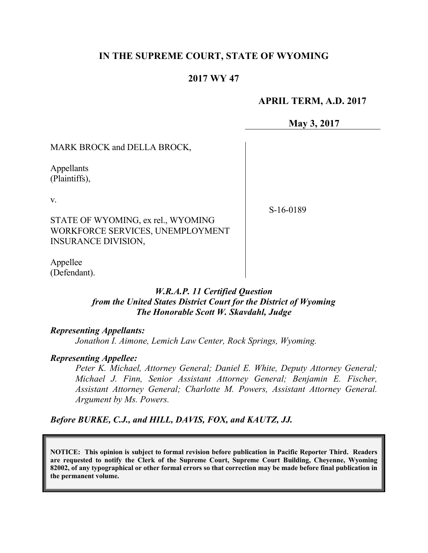# **IN THE SUPREME COURT, STATE OF WYOMING**

## **2017 WY 47**

## **APRIL TERM, A.D. 2017**

**May 3, 2017**

MARK BROCK and DELLA BROCK,

Appellants (Plaintiffs),

v.

S-16-0189

STATE OF WYOMING, ex rel., WYOMING WORKFORCE SERVICES, UNEMPLOYMENT INSURANCE DIVISION,

Appellee (Defendant).

## *W.R.A.P. 11 Certified Question from the United States District Court for the District of Wyoming The Honorable Scott W. Skavdahl, Judge*

#### *Representing Appellants:*

*Jonathon I. Aimone, Lemich Law Center, Rock Springs, Wyoming.*

#### *Representing Appellee:*

*Peter K. Michael, Attorney General; Daniel E. White, Deputy Attorney General; Michael J. Finn, Senior Assistant Attorney General; Benjamin E. Fischer, Assistant Attorney General; Charlotte M. Powers, Assistant Attorney General. Argument by Ms. Powers.*

*Before BURKE, C.J., and HILL, DAVIS, FOX, and KAUTZ, JJ.*

**NOTICE: This opinion is subject to formal revision before publication in Pacific Reporter Third. Readers are requested to notify the Clerk of the Supreme Court, Supreme Court Building, Cheyenne, Wyoming 82002, of any typographical or other formal errors so that correction may be made before final publication in the permanent volume.**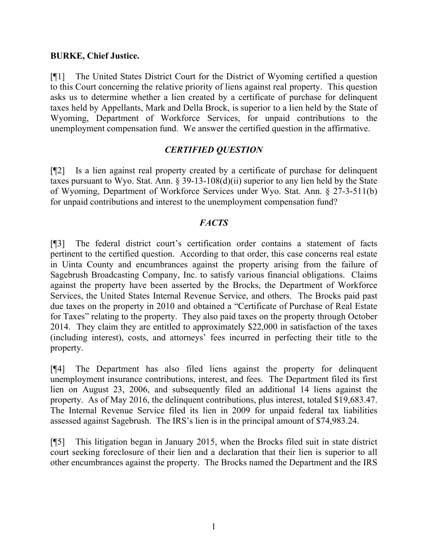## **BURKE, Chief Justice.**

[¶1] The United States District Court for the District of Wyoming certified a question to this Court concerning the relative priority of liens against real property. This question asks us to determine whether a lien created by a certificate of purchase for delinquent taxes held by Appellants, Mark and Della Brock, is superior to a lien held by the State of Wyoming, Department of Workforce Services, for unpaid contributions to the unemployment compensation fund. We answer the certified question in the affirmative.

# *CERTIFIED QUESTION*

[¶2] Is a lien against real property created by a certificate of purchase for delinquent taxes pursuant to Wyo. Stat. Ann.  $\S 39-13-108(d)(ii)$  superior to any lien held by the State of Wyoming, Department of Workforce Services under Wyo. Stat. Ann. § 27-3-511(b) for unpaid contributions and interest to the unemployment compensation fund?

# *FACTS*

[¶3] The federal district court's certification order contains a statement of facts pertinent to the certified question. According to that order, this case concerns real estate in Uinta County and encumbrances against the property arising from the failure of Sagebrush Broadcasting Company, Inc. to satisfy various financial obligations. Claims against the property have been asserted by the Brocks, the Department of Workforce Services, the United States Internal Revenue Service, and others. The Brocks paid past due taxes on the property in 2010 and obtained a "Certificate of Purchase of Real Estate for Taxes" relating to the property. They also paid taxes on the property through October 2014. They claim they are entitled to approximately \$22,000 in satisfaction of the taxes (including interest), costs, and attorneys' fees incurred in perfecting their title to the property.

[¶4] The Department has also filed liens against the property for delinquent unemployment insurance contributions, interest, and fees. The Department filed its first lien on August 23, 2006, and subsequently filed an additional 14 liens against the property. As of May 2016, the delinquent contributions, plus interest, totaled \$19,683.47. The Internal Revenue Service filed its lien in 2009 for unpaid federal tax liabilities assessed against Sagebrush. The IRS's lien is in the principal amount of \$74,983.24.

[¶5] This litigation began in January 2015, when the Brocks filed suit in state district court seeking foreclosure of their lien and a declaration that their lien is superior to all other encumbrances against the property. The Brocks named the Department and the IRS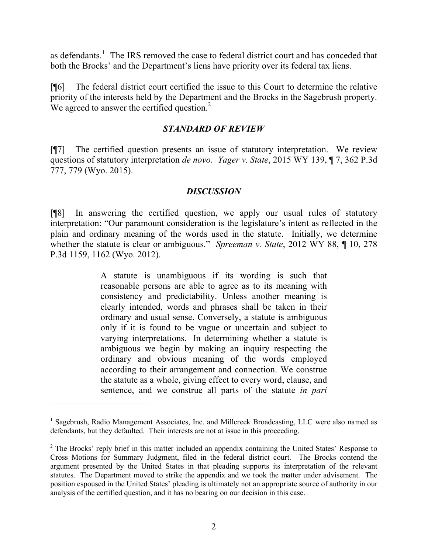as defendants.<sup>1</sup> The IRS removed the case to federal district court and has conceded that both the Brocks' and the Department's liens have priority over its federal tax liens.

[¶6] The federal district court certified the issue to this Court to determine the relative priority of the interests held by the Department and the Brocks in the Sagebrush property. We agreed to answer the certified question.<sup>2</sup>

## *STANDARD OF REVIEW*

[¶7] The certified question presents an issue of statutory interpretation. We review questions of statutory interpretation *de novo*. *Yager v. State*, 2015 WY 139, ¶ 7, 362 P.3d 777, 779 (Wyo. 2015).

## *DISCUSSION*

[¶8] In answering the certified question, we apply our usual rules of statutory interpretation: "Our paramount consideration is the legislature's intent as reflected in the plain and ordinary meaning of the words used in the statute. Initially, we determine whether the statute is clear or ambiguous." *Spreeman v. State*, 2012 WY 88, ¶ 10, 278 P.3d 1159, 1162 (Wyo. 2012).

> A statute is unambiguous if its wording is such that reasonable persons are able to agree as to its meaning with consistency and predictability. Unless another meaning is clearly intended, words and phrases shall be taken in their ordinary and usual sense. Conversely, a statute is ambiguous only if it is found to be vague or uncertain and subject to varying interpretations. In determining whether a statute is ambiguous we begin by making an inquiry respecting the ordinary and obvious meaning of the words employed according to their arrangement and connection. We construe the statute as a whole, giving effect to every word, clause, and sentence, and we construe all parts of the statute *in pari*

 $\overline{a}$ 

<sup>&</sup>lt;sup>1</sup> Sagebrush, Radio Management Associates, Inc. and Millcreek Broadcasting, LLC were also named as defendants, but they defaulted. Their interests are not at issue in this proceeding.

 $2$  The Brocks' reply brief in this matter included an appendix containing the United States' Response to Cross Motions for Summary Judgment, filed in the federal district court. The Brocks contend the argument presented by the United States in that pleading supports its interpretation of the relevant statutes. The Department moved to strike the appendix and we took the matter under advisement. The position espoused in the United States' pleading is ultimately not an appropriate source of authority in our analysis of the certified question, and it has no bearing on our decision in this case.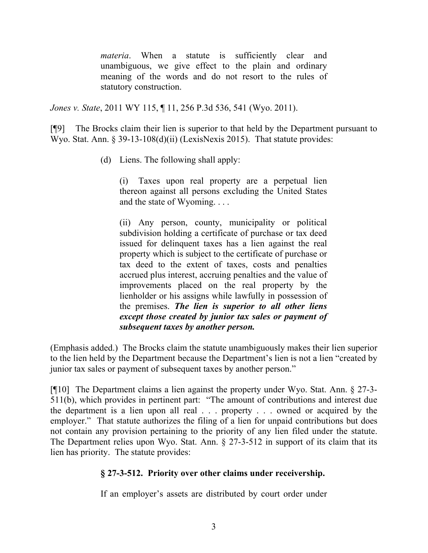*materia*. When a statute is sufficiently clear and unambiguous, we give effect to the plain and ordinary meaning of the words and do not resort to the rules of statutory construction.

*Jones v. State*, 2011 WY 115, ¶ 11, 256 P.3d 536, 541 (Wyo. 2011).

[¶9] The Brocks claim their lien is superior to that held by the Department pursuant to Wyo. Stat. Ann. § 39-13-108(d)(ii) (LexisNexis 2015). That statute provides:

(d) Liens. The following shall apply:

(i) Taxes upon real property are a perpetual lien thereon against all persons excluding the United States and the state of Wyoming. . . .

(ii) Any person, county, municipality or political subdivision holding a certificate of purchase or tax deed issued for delinquent taxes has a lien against the real property which is subject to the certificate of purchase or tax deed to the extent of taxes, costs and penalties accrued plus interest, accruing penalties and the value of improvements placed on the real property by the lienholder or his assigns while lawfully in possession of the premises. *The lien is superior to all other liens except those created by junior tax sales or payment of subsequent taxes by another person.*

(Emphasis added.) The Brocks claim the statute unambiguously makes their lien superior to the lien held by the Department because the Department's lien is not a lien "created by junior tax sales or payment of subsequent taxes by another person."

[¶10] The Department claims a lien against the property under Wyo. Stat. Ann. § 27-3- 511(b), which provides in pertinent part: "The amount of contributions and interest due the department is a lien upon all real . . . property . . . owned or acquired by the employer." That statute authorizes the filing of a lien for unpaid contributions but does not contain any provision pertaining to the priority of any lien filed under the statute. The Department relies upon Wyo. Stat. Ann.  $\S 27-3-512$  in support of its claim that its lien has priority. The statute provides:

# **§ 27-3-512. Priority over other claims under receivership.**

If an employer's assets are distributed by court order under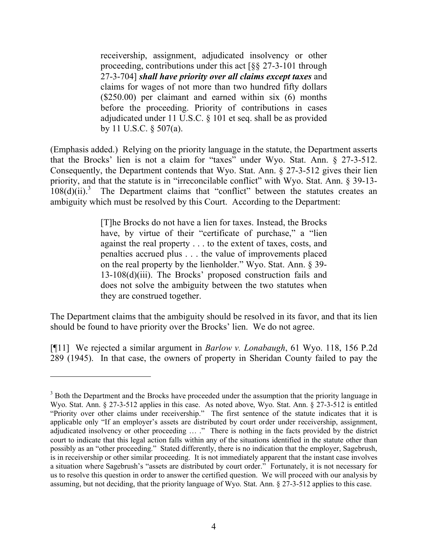receivership, assignment, adjudicated insolvency or other proceeding, contributions under this act [§§ 27-3-101 through 27-3-704] *shall have priority over all claims except taxes* and claims for wages of not more than two hundred fifty dollars (\$250.00) per claimant and earned within six (6) months before the proceeding. Priority of contributions in cases adjudicated under 11 U.S.C. § 101 et seq. shall be as provided by 11 U.S.C. § 507(a).

(Emphasis added.) Relying on the priority language in the statute, the Department asserts that the Brocks' lien is not a claim for "taxes" under Wyo. Stat. Ann. § 27-3-512. Consequently, the Department contends that Wyo. Stat. Ann. § 27-3-512 gives their lien priority, and that the statute is in "irreconcilable conflict" with Wyo. Stat. Ann. § 39-13-  $108(d)(ii)$ .<sup>3</sup> The Department claims that "conflict" between the statutes creates an ambiguity which must be resolved by this Court. According to the Department:

> [T]he Brocks do not have a lien for taxes. Instead, the Brocks have, by virtue of their "certificate of purchase," a "lien against the real property . . . to the extent of taxes, costs, and penalties accrued plus . . . the value of improvements placed on the real property by the lienholder." Wyo. Stat. Ann. § 39- 13-108(d)(iii). The Brocks' proposed construction fails and does not solve the ambiguity between the two statutes when they are construed together.

The Department claims that the ambiguity should be resolved in its favor, and that its lien should be found to have priority over the Brocks' lien. We do not agree.

[¶11] We rejected a similar argument in *Barlow v. Lonabaugh*, 61 Wyo. 118, 156 P.2d 289 (1945). In that case, the owners of property in Sheridan County failed to pay the

<sup>&</sup>lt;sup>3</sup> Both the Department and the Brocks have proceeded under the assumption that the priority language in Wyo. Stat. Ann. § 27-3-512 applies in this case. As noted above, Wyo. Stat. Ann. § 27-3-512 is entitled "Priority over other claims under receivership." The first sentence of the statute indicates that it is applicable only "If an employer's assets are distributed by court order under receivership, assignment, adjudicated insolvency or other proceeding … ." There is nothing in the facts provided by the district court to indicate that this legal action falls within any of the situations identified in the statute other than possibly as an "other proceeding." Stated differently, there is no indication that the employer, Sagebrush, is in receivership or other similar proceeding. It is not immediately apparent that the instant case involves a situation where Sagebrush's "assets are distributed by court order." Fortunately, it is not necessary for us to resolve this question in order to answer the certified question. We will proceed with our analysis by assuming, but not deciding, that the priority language of Wyo. Stat. Ann. § 27-3-512 applies to this case.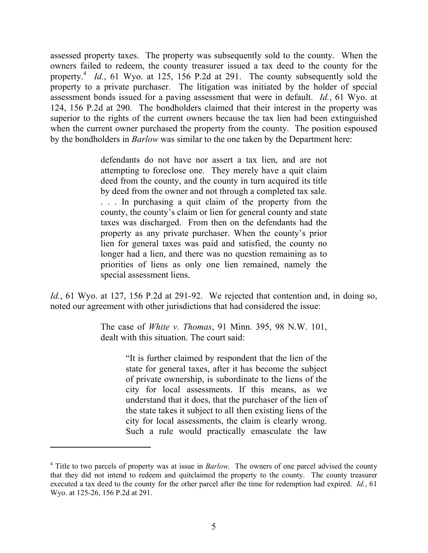assessed property taxes. The property was subsequently sold to the county. When the owners failed to redeem, the county treasurer issued a tax deed to the county for the property.<sup>4</sup> Id., 61 Wyo. at 125, 156 P.2d at 291. The county subsequently sold the property to a private purchaser. The litigation was initiated by the holder of special assessment bonds issued for a paving assessment that were in default. *Id.*, 61 Wyo. at 124, 156 P.2d at 290. The bondholders claimed that their interest in the property was superior to the rights of the current owners because the tax lien had been extinguished when the current owner purchased the property from the county. The position espoused by the bondholders in *Barlow* was similar to the one taken by the Department here:

> defendants do not have nor assert a tax lien, and are not attempting to foreclose one. They merely have a quit claim deed from the county, and the county in turn acquired its title by deed from the owner and not through a completed tax sale. . . . In purchasing a quit claim of the property from the county, the county's claim or lien for general county and state taxes was discharged. From then on the defendants had the property as any private purchaser. When the county's prior lien for general taxes was paid and satisfied, the county no longer had a lien, and there was no question remaining as to priorities of liens as only one lien remained, namely the special assessment liens.

*Id.*, 61 Wyo. at 127, 156 P.2d at 291-92. We rejected that contention and, in doing so, noted our agreement with other jurisdictions that had considered the issue:

> The case of *White v. Thomas*, 91 Minn. 395, 98 N.W. 101, dealt with this situation. The court said:

> > "It is further claimed by respondent that the lien of the state for general taxes, after it has become the subject of private ownership, is subordinate to the liens of the city for local assessments. If this means, as we understand that it does, that the purchaser of the lien of the state takes it subject to all then existing liens of the city for local assessments, the claim is clearly wrong. Such a rule would practically emasculate the law

 $\overline{a}$ 

<sup>&</sup>lt;sup>4</sup> Title to two parcels of property was at issue in *Barlow*. The owners of one parcel advised the county that they did not intend to redeem and quitclaimed the property to the county. The county treasurer executed a tax deed to the county for the other parcel after the time for redemption had expired. *Id.*, 61 Wyo. at 125-26, 156 P.2d at 291.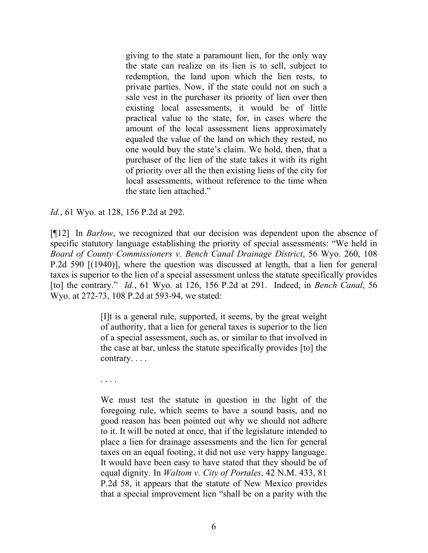giving to the state a paramount lien, for the only way the state can realize on its lien is to sell, subject to redemption, the land upon which the lien rests, to private parties. Now, if the state could not on such a sale vest in the purchaser its priority of lien over then existing local assessments, it would be of little practical value to the state, for, in cases where the amount of the local assessment liens approximately equaled the value of the land on which they rested, no one would buy the state's claim. We hold, then, that a purchaser of the lien of the state takes it with its right of priority over all the then existing liens of the city for local assessments, without reference to the time when the state lien attached."

*Id.*, 61 Wyo. at 128, 156 P.2d at 292.

[¶12] In *Barlow*, we recognized that our decision was dependent upon the absence of specific statutory language establishing the priority of special assessments: "We held in *Board of County Commissioners v. Bench Canal Drainage District*, 56 Wyo. 260, 108 P.2d 590 [(1940)], where the question was discussed at length, that a lien for general taxes is superior to the lien of a special assessment unless the statute specifically provides [to] the contrary." *Id.*, 61 Wyo. at 126, 156 P.2d at 291. Indeed, in *Bench Canal*, 56 Wyo. at 272-73, 108 P.2d at 593-94, we stated:

> [I]t is a general rule, supported, it seems, by the great weight of authority, that a lien for general taxes is superior to the lien of a special assessment, such as, or similar to that involved in the case at bar, unless the statute specifically provides [to] the contrary. . . .

. . . .

We must test the statute in question in the light of the foregoing rule, which seems to have a sound basis, and no good reason has been pointed out why we should not adhere to it. It will be noted at once, that if the legislature intended to place a lien for drainage assessments and the lien for general taxes on an equal footing, it did not use very happy language. It would have been easy to have stated that they should be of equal dignity. In *Waltom v. City of Portales*, 42 N.M. 433, 81 P.2d 58, it appears that the statute of New Mexico provides that a special improvement lien "shall be on a parity with the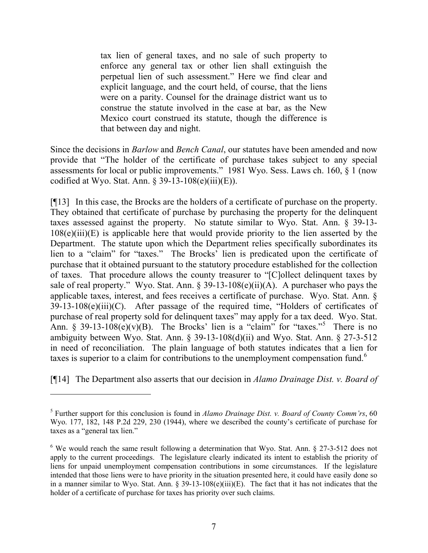tax lien of general taxes, and no sale of such property to enforce any general tax or other lien shall extinguish the perpetual lien of such assessment." Here we find clear and explicit language, and the court held, of course, that the liens were on a parity. Counsel for the drainage district want us to construe the statute involved in the case at bar, as the New Mexico court construed its statute, though the difference is that between day and night.

Since the decisions in *Barlow* and *Bench Canal*, our statutes have been amended and now provide that "The holder of the certificate of purchase takes subject to any special assessments for local or public improvements." 1981 Wyo. Sess. Laws ch. 160, § 1 (now codified at Wyo. Stat. Ann.  $\S 39-13-108(e)(iii)(E)$ .

[¶13] In this case, the Brocks are the holders of a certificate of purchase on the property. They obtained that certificate of purchase by purchasing the property for the delinquent taxes assessed against the property. No statute similar to Wyo. Stat. Ann. § 39-13-  $108(e)(iii)(E)$  is applicable here that would provide priority to the lien asserted by the Department. The statute upon which the Department relies specifically subordinates its lien to a "claim" for "taxes." The Brocks' lien is predicated upon the certificate of purchase that it obtained pursuant to the statutory procedure established for the collection of taxes. That procedure allows the county treasurer to "[C]ollect delinquent taxes by sale of real property." Wyo. Stat. Ann.  $\S 39-13-108(e)$ (ii)(A). A purchaser who pays the applicable taxes, interest, and fees receives a certificate of purchase. Wyo. Stat. Ann. § 39-13-108(e)(iii)(C). After passage of the required time, "Holders of certificates of purchase of real property sold for delinquent taxes" may apply for a tax deed. Wyo. Stat. Ann. § 39-13-108 $(e)(v)(B)$ . The Brocks' lien is a "claim" for "taxes."<sup>5</sup> There is no ambiguity between Wyo. Stat. Ann. § 39-13-108(d)(ii) and Wyo. Stat. Ann. § 27-3-512 in need of reconciliation. The plain language of both statutes indicates that a lien for taxes is superior to a claim for contributions to the unemployment compensation fund.<sup>6</sup>

[¶14] The Department also asserts that our decision in *Alamo Drainage Dist. v. Board of* 

 $\overline{a}$ 

<sup>5</sup> Further support for this conclusion is found in *Alamo Drainage Dist. v. Board of County Comm'rs*, 60 Wyo. 177, 182, 148 P.2d 229, 230 (1944), where we described the county's certificate of purchase for taxes as a "general tax lien."

 $6$  We would reach the same result following a determination that Wyo. Stat. Ann. § 27-3-512 does not apply to the current proceedings. The legislature clearly indicated its intent to establish the priority of liens for unpaid unemployment compensation contributions in some circumstances. If the legislature intended that those liens were to have priority in the situation presented here, it could have easily done so in a manner similar to Wyo. Stat. Ann. § 39-13-108(e)(iii)(E). The fact that it has not indicates that the holder of a certificate of purchase for taxes has priority over such claims.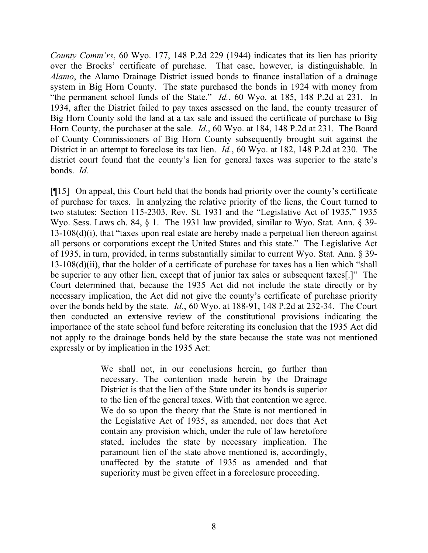*County Comm'rs*, 60 Wyo. 177, 148 P.2d 229 (1944) indicates that its lien has priority over the Brocks' certificate of purchase. That case, however, is distinguishable. In *Alamo*, the Alamo Drainage District issued bonds to finance installation of a drainage system in Big Horn County. The state purchased the bonds in 1924 with money from "the permanent school funds of the State." *Id.*, 60 Wyo. at 185, 148 P.2d at 231. In 1934, after the District failed to pay taxes assessed on the land, the county treasurer of Big Horn County sold the land at a tax sale and issued the certificate of purchase to Big Horn County, the purchaser at the sale. *Id.*, 60 Wyo. at 184, 148 P.2d at 231. The Board of County Commissioners of Big Horn County subsequently brought suit against the District in an attempt to foreclose its tax lien. *Id.*, 60 Wyo. at 182, 148 P.2d at 230. The district court found that the county's lien for general taxes was superior to the state's bonds. *Id.*

[¶15] On appeal, this Court held that the bonds had priority over the county's certificate of purchase for taxes. In analyzing the relative priority of the liens, the Court turned to two statutes: Section 115-2303, Rev. St. 1931 and the "Legislative Act of 1935," 1935 Wyo. Sess. Laws ch. 84, § 1. The 1931 law provided, similar to Wyo. Stat. Ann. § 39-13-108(d)(i), that "taxes upon real estate are hereby made a perpetual lien thereon against all persons or corporations except the United States and this state." The Legislative Act of 1935, in turn, provided, in terms substantially similar to current Wyo. Stat. Ann. § 39- 13-108(d)(ii), that the holder of a certificate of purchase for taxes has a lien which "shall be superior to any other lien, except that of junior tax sales or subsequent taxes[.]" The Court determined that, because the 1935 Act did not include the state directly or by necessary implication, the Act did not give the county's certificate of purchase priority over the bonds held by the state. *Id.*, 60 Wyo. at 188-91, 148 P.2d at 232-34. The Court then conducted an extensive review of the constitutional provisions indicating the importance of the state school fund before reiterating its conclusion that the 1935 Act did not apply to the drainage bonds held by the state because the state was not mentioned expressly or by implication in the 1935 Act:

> We shall not, in our conclusions herein, go further than necessary. The contention made herein by the Drainage District is that the lien of the State under its bonds is superior to the lien of the general taxes. With that contention we agree. We do so upon the theory that the State is not mentioned in the Legislative Act of 1935, as amended, nor does that Act contain any provision which, under the rule of law heretofore stated, includes the state by necessary implication. The paramount lien of the state above mentioned is, accordingly, unaffected by the statute of 1935 as amended and that superiority must be given effect in a foreclosure proceeding.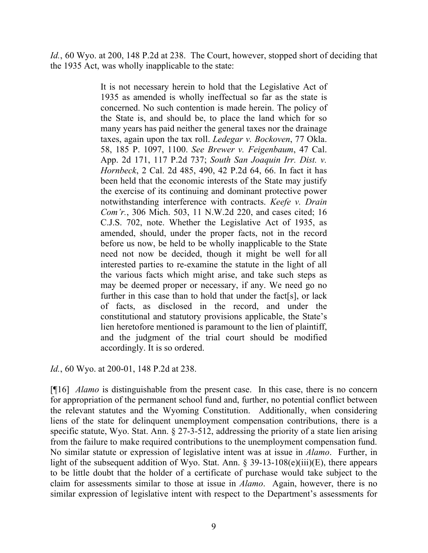*Id.*, 60 Wyo. at 200, 148 P.2d at 238. The Court, however, stopped short of deciding that the 1935 Act, was wholly inapplicable to the state:

> It is not necessary herein to hold that the Legislative Act of 1935 as amended is wholly ineffectual so far as the state is concerned. No such contention is made herein. The policy of the State is, and should be, to place the land which for so many years has paid neither the general taxes nor the drainage taxes, again upon the tax roll. *Ledegar v. Bockoven*, 77 Okla. 58, 185 P. 1097, 1100. *See Brewer v. Feigenbaum*, 47 Cal. App. 2d 171, 117 P.2d 737; *South San Joaquin Irr. Dist. v. Hornbeck*, 2 Cal. 2d 485, 490, 42 P.2d 64, 66. In fact it has been held that the economic interests of the State may justify the exercise of its continuing and dominant protective power notwithstanding interference with contracts. *Keefe v. Drain Com'r.*, 306 Mich. 503, 11 N.W.2d 220, and cases cited; 16 C.J.S. 702, note. Whether the Legislative Act of 1935, as amended, should, under the proper facts, not in the record before us now, be held to be wholly inapplicable to the State need not now be decided, though it might be well for all interested parties to re-examine the statute in the light of all the various facts which might arise, and take such steps as may be deemed proper or necessary, if any. We need go no further in this case than to hold that under the fact[s], or lack of facts, as disclosed in the record, and under the constitutional and statutory provisions applicable, the State's lien heretofore mentioned is paramount to the lien of plaintiff, and the judgment of the trial court should be modified accordingly. It is so ordered.

*Id.*, 60 Wyo. at 200-01, 148 P.2d at 238.

[¶16] *Alamo* is distinguishable from the present case. In this case, there is no concern for appropriation of the permanent school fund and, further, no potential conflict between the relevant statutes and the Wyoming Constitution. Additionally, when considering liens of the state for delinquent unemployment compensation contributions, there is a specific statute, Wyo. Stat. Ann. § 27-3-512, addressing the priority of a state lien arising from the failure to make required contributions to the unemployment compensation fund. No similar statute or expression of legislative intent was at issue in *Alamo*. Further, in light of the subsequent addition of Wyo. Stat. Ann. § 39-13-108(e)(iii)(E), there appears to be little doubt that the holder of a certificate of purchase would take subject to the claim for assessments similar to those at issue in *Alamo*. Again, however, there is no similar expression of legislative intent with respect to the Department's assessments for